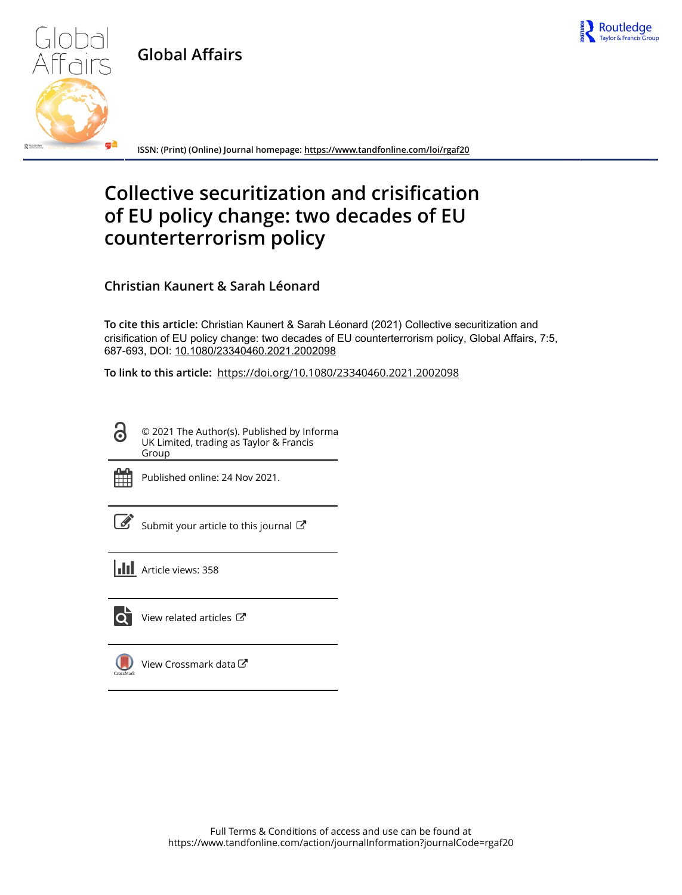

**Global Affairs**



**ISSN: (Print) (Online) Journal homepage:<https://www.tandfonline.com/loi/rgaf20>**

# **Collective securitization and crisification of EU policy change: two decades of EU counterterrorism policy**

**Christian Kaunert & Sarah Léonard**

**To cite this article:** Christian Kaunert & Sarah Léonard (2021) Collective securitization and crisification of EU policy change: two decades of EU counterterrorism policy, Global Affairs, 7:5, 687-693, DOI: [10.1080/23340460.2021.2002098](https://www.tandfonline.com/action/showCitFormats?doi=10.1080/23340460.2021.2002098)

**To link to this article:** <https://doi.org/10.1080/23340460.2021.2002098>

© 2021 The Author(s). Published by Informa UK Limited, trading as Taylor & Francis Group



 $\bullet$ 

Published online: 24 Nov 2021.

| ł<br>۰. |
|---------|

Submit your article to this journal

**Article views: 358** 



 $\bullet$  [View related articles](https://www.tandfonline.com/doi/mlt/10.1080/23340460.2021.2002098)  $\sigma$ 

[View Crossmark data](http://crossmark.crossref.org/dialog/?doi=10.1080/23340460.2021.2002098&domain=pdf&date_stamp=2021-11-24)<sup>で</sup>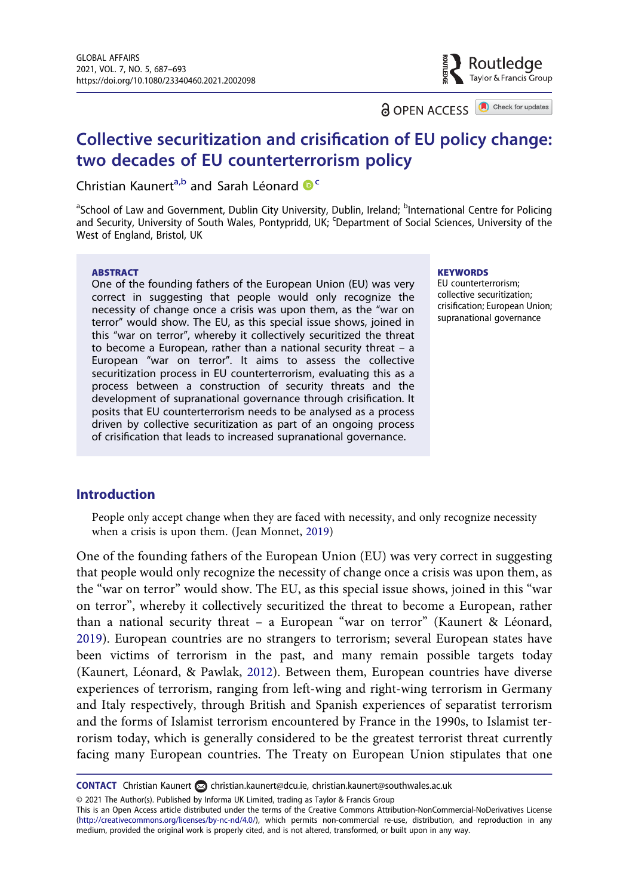**a** OPEN ACCESS **a** Check for updates

Routledge Tavlor & Francis Group

## Collective securitization and crisification of EU policy change: two decades of EU counterterrorism policy

Christian Kaunert<sup>a,b</sup> and Sarah Léonard  $\mathbf{C}^{\mathsf{C}}$ 

<sup>a</sup>School of Law and Government, Dublin City University, Dublin, Ireland; <sup>b</sup>International Centre for Policing and Security, University of South Wales, Pontypridd, UK; <sup>c</sup>Department of Social Sciences, University of the West of England, Bristol, UK

#### ABSTRACT

One of the founding fathers of the European Union (EU) was very correct in suggesting that people would only recognize the necessity of change once a crisis was upon them, as the "war on terror" would show. The EU, as this special issue shows, joined in this "war on terror", whereby it collectively securitized the threat to become a European, rather than a national security threat – a European "war on terror". It aims to assess the collective securitization process in EU counterterrorism, evaluating this as a process between a construction of security threats and the development of supranational governance through crisification. It posits that EU counterterrorism needs to be analysed as a process driven by collective securitization as part of an ongoing process of crisification that leads to increased supranational governance.

**KEYWORDS** 

EU counterterrorism; collective securitization; crisification; European Union; supranational governance

#### Introduction

<span id="page-1-0"></span>People only accept change when they are faced with necessity, and only recognize necessity when a crisis is upon them. (Jean Monnet, [2019](#page-7-0))

<span id="page-1-2"></span><span id="page-1-1"></span>One of the founding fathers of the European Union (EU) was very correct in suggesting that people would only recognize the necessity of change once a crisis was upon them, as the "war on terror" would show. The EU, as this special issue shows, joined in this "war on terror", whereby it collectively securitized the threat to become a European, rather than a national security threat – a European "war on terror" (Kaunert & Léonard, [2019](#page-7-1)). European countries are no strangers to terrorism; several European states have been victims of terrorism in the past, and many remain possible targets today (Kaunert, Léonard, & Pawlak, [2012](#page-7-2)). Between them, European countries have diverse experiences of terrorism, ranging from left-wing and right-wing terrorism in Germany and Italy respectively, through British and Spanish experiences of separatist terrorism and the forms of Islamist terrorism encountered by France in the 1990s, to Islamist terrorism today, which is generally considered to be the greatest terrorist threat currently facing many European countries. The Treaty on European Union stipulates that one

© 2021 The Author(s). Published by Informa UK Limited, trading as Taylor & Francis Group

CONTACT Christian Kaunert a [christian.kaunert@dcu.ie,](mailto:christian.kaunert@dcu.ie) [christian.kaunert@southwales.ac.uk](mailto:christian.kaunert@southwales.ac.uk)

This is an Open Access article distributed under the terms of the Creative Commons Attribution-NonCommercial-NoDerivatives License ([http://creativecommons.org/licenses/by-nc-nd/4.0/\)](http://creativecommons.org/licenses/by-nc-nd/4.0/), which permits non-commercial re-use, distribution, and reproduction in any medium, provided the original work is properly cited, and is not altered, transformed, or built upon in any way.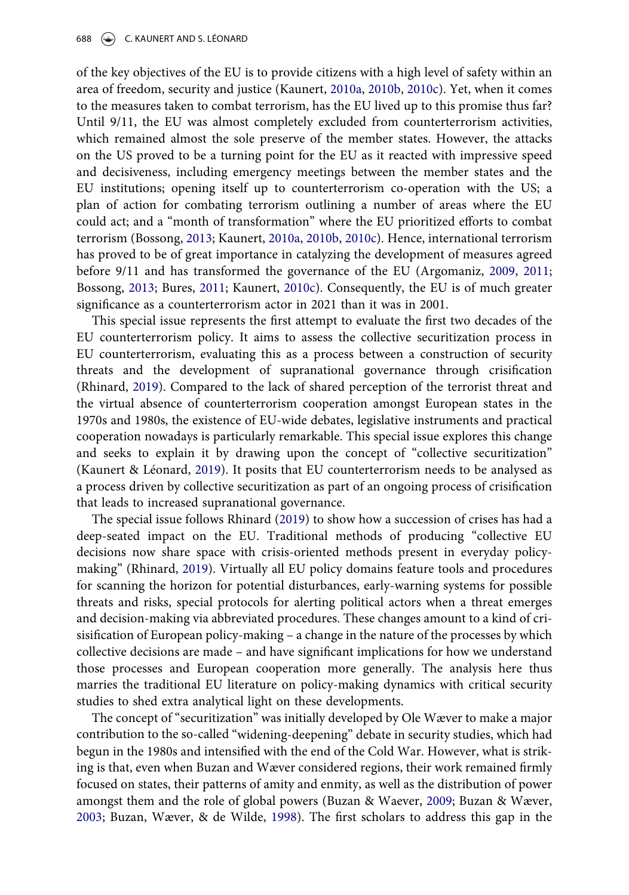of the key objectives of the EU is to provide citizens with a high level of safety within an area of freedom, security and justice (Kaunert, [2010a,](#page-7-3) [2010b](#page-7-4), [2010c](#page-7-5)). Yet, when it comes to the measures taken to combat terrorism, has the EU lived up to this promise thus far? Until 9/11, the EU was almost completely excluded from counterterrorism activities, which remained almost the sole preserve of the member states. However, the attacks on the US proved to be a turning point for the EU as it reacted with impressive speed and decisiveness, including emergency meetings between the member states and the EU institutions; opening itself up to counterterrorism co-operation with the US; a plan of action for combating terrorism outlining a number of areas where the EU could act; and a "month of transformation" where the EU prioritized efforts to combat terrorism (Bossong, [2013](#page-7-6); Kaunert, [2010a,](#page-7-3) [2010b,](#page-7-4) [2010c](#page-7-5)). Hence, international terrorism has proved to be of great importance in catalyzing the development of measures agreed before 9/11 and has transformed the governance of the EU (Argomaniz, [2009](#page-6-0), [2011;](#page-6-1) Bossong, [2013](#page-7-6); Bures, [2011;](#page-7-7) Kaunert, [2010c](#page-7-5)). Consequently, the EU is of much greater significance as a counterterrorism actor in 2021 than it was in 2001.

<span id="page-2-4"></span><span id="page-2-1"></span><span id="page-2-0"></span>This special issue represents the first attempt to evaluate the first two decades of the EU counterterrorism policy. It aims to assess the collective securitization process in EU counterterrorism, evaluating this as a process between a construction of security threats and the development of supranational governance through crisification (Rhinard, [2019](#page-7-8)). Compared to the lack of shared perception of the terrorist threat and the virtual absence of counterterrorism cooperation amongst European states in the 1970s and 1980s, the existence of EU-wide debates, legislative instruments and practical cooperation nowadays is particularly remarkable. This special issue explores this change and seeks to explain it by drawing upon the concept of "collective securitization" (Kaunert & Léonard, [2019](#page-7-1)). It posits that EU counterterrorism needs to be analysed as a process driven by collective securitization as part of an ongoing process of crisification that leads to increased supranational governance.

<span id="page-2-5"></span>The special issue follows Rhinard [\(2019](#page-7-8)) to show how a succession of crises has had a deep-seated impact on the EU. Traditional methods of producing "collective EU decisions now share space with crisis-oriented methods present in everyday policymaking" (Rhinard, [2019](#page-7-8)). Virtually all EU policy domains feature tools and procedures for scanning the horizon for potential disturbances, early-warning systems for possible threats and risks, special protocols for alerting political actors when a threat emerges and decision-making via abbreviated procedures. These changes amount to a kind of crisisification of European policy-making – a change in the nature of the processes by which collective decisions are made – and have significant implications for how we understand those processes and European cooperation more generally. The analysis here thus marries the traditional EU literature on policy-making dynamics with critical security studies to shed extra analytical light on these developments.

<span id="page-2-3"></span><span id="page-2-2"></span>The concept of "securitization" was initially developed by Ole Wæver to make a major contribution to the so-called "widening-deepening" debate in security studies, which had begun in the 1980s and intensified with the end of the Cold War. However, what is striking is that, even when Buzan and Wæver considered regions, their work remained firmly focused on states, their patterns of amity and enmity, as well as the distribution of power amongst them and the role of global powers (Buzan & Waever, [2009;](#page-7-9) Buzan & Wæver, [2003](#page-7-10); Buzan, Wæver, & de Wilde, [1998\)](#page-7-11). The first scholars to address this gap in the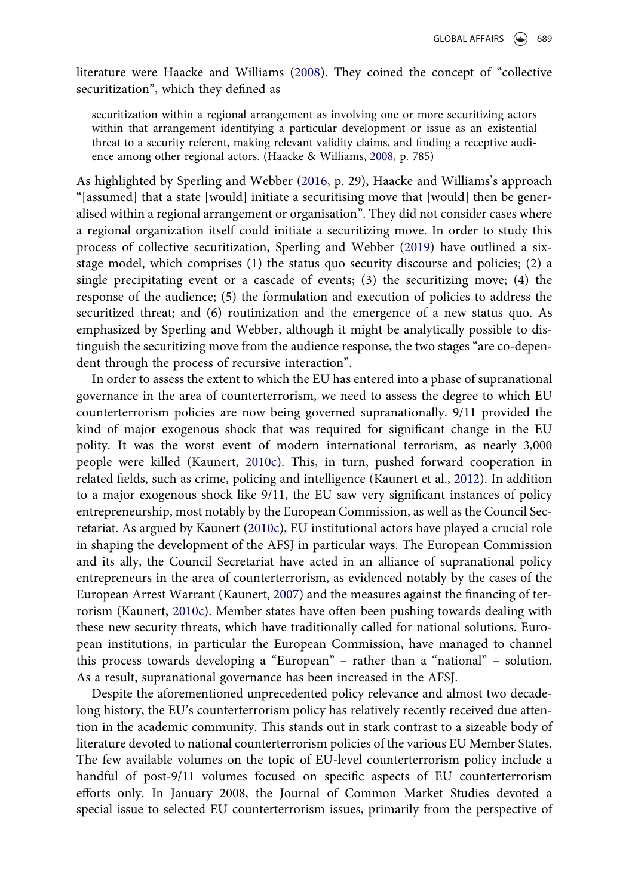literature were Haacke and Williams [\(2008](#page-7-12)). They coined the concept of "collective securitization", which they defined as

<span id="page-3-0"></span>securitization within a regional arrangement as involving one or more securitizing actors within that arrangement identifying a particular development or issue as an existential threat to a security referent, making relevant validity claims, and finding a receptive audience among other regional actors. (Haacke & Williams, [2008,](#page-7-12) p. 785)

<span id="page-3-3"></span><span id="page-3-2"></span>As highlighted by Sperling and Webber ([2016,](#page-7-13) p. 29), Haacke and Williams's approach "[assumed] that a state [would] initiate a securitising move that [would] then be generalised within a regional arrangement or organisation". They did not consider cases where a regional organization itself could initiate a securitizing move. In order to study this process of collective securitization, Sperling and Webber [\(2019](#page-7-14)) have outlined a sixstage model, which comprises (1) the status quo security discourse and policies; (2) a single precipitating event or a cascade of events; (3) the securitizing move; (4) the response of the audience; (5) the formulation and execution of policies to address the securitized threat; and (6) routinization and the emergence of a new status quo. As emphasized by Sperling and Webber, although it might be analytically possible to distinguish the securitizing move from the audience response, the two stages "are co-dependent through the process of recursive interaction".

In order to assess the extent to which the EU has entered into a phase of supranational governance in the area of counterterrorism, we need to assess the degree to which EU counterterrorism policies are now being governed supranationally. 9/11 provided the kind of major exogenous shock that was required for significant change in the EU polity. It was the worst event of modern international terrorism, as nearly 3,000 people were killed (Kaunert, [2010c](#page-7-5)). This, in turn, pushed forward cooperation in related fields, such as crime, policing and intelligence (Kaunert et al., [2012](#page-7-2)). In addition to a major exogenous shock like 9/11, the EU saw very significant instances of policy entrepreneurship, most notably by the European Commission, as well as the Council Secretariat. As argued by Kaunert ([2010c](#page-7-5)), EU institutional actors have played a crucial role in shaping the development of the AFSJ in particular ways. The European Commission and its ally, the Council Secretariat have acted in an alliance of supranational policy entrepreneurs in the area of counterterrorism, as evidenced notably by the cases of the European Arrest Warrant (Kaunert, [2007\)](#page-7-15) and the measures against the financing of terrorism (Kaunert, [2010c](#page-7-5)). Member states have often been pushing towards dealing with these new security threats, which have traditionally called for national solutions. European institutions, in particular the European Commission, have managed to channel this process towards developing a "European" – rather than a "national" – solution. As a result, supranational governance has been increased in the AFSJ.

<span id="page-3-1"></span>Despite the aforementioned unprecedented policy relevance and almost two decadelong history, the EU's counterterrorism policy has relatively recently received due attention in the academic community. This stands out in stark contrast to a sizeable body of literature devoted to national counterterrorism policies of the various EU Member States. The few available volumes on the topic of EU-level counterterrorism policy include a handful of post-9/11 volumes focused on specific aspects of EU counterterrorism efforts only. In January 2008, the Journal of Common Market Studies devoted a special issue to selected EU counterterrorism issues, primarily from the perspective of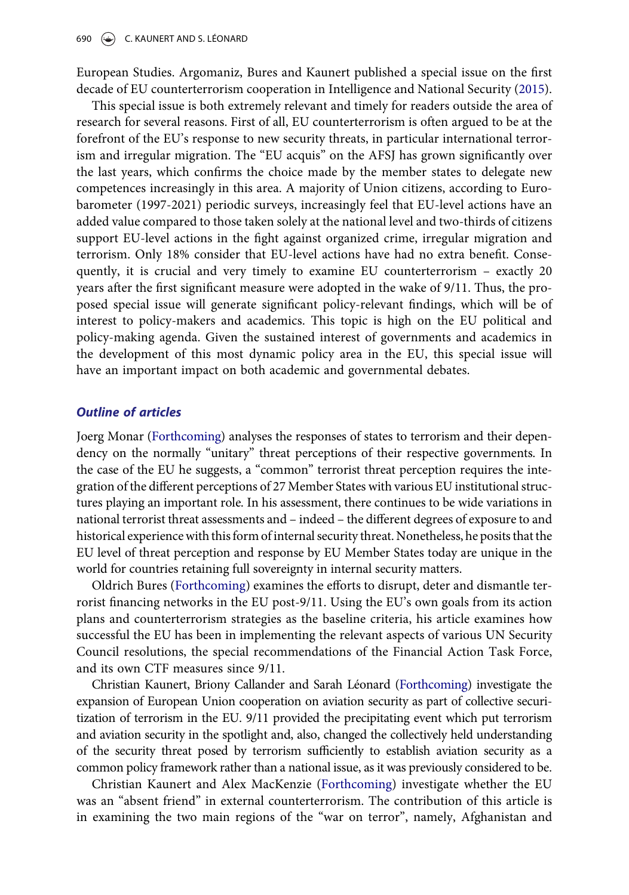<span id="page-4-0"></span>European Studies. Argomaniz, Bures and Kaunert published a special issue on the first decade of EU counterterrorism cooperation in Intelligence and National Security [\(2015](#page-6-2)).

This special issue is both extremely relevant and timely for readers outside the area of research for several reasons. First of all, EU counterterrorism is often argued to be at the forefront of the EU's response to new security threats, in particular international terrorism and irregular migration. The "EU acquis" on the AFSJ has grown significantly over the last years, which confirms the choice made by the member states to delegate new competences increasingly in this area. A majority of Union citizens, according to Eurobarometer (1997-2021) periodic surveys, increasingly feel that EU-level actions have an added value compared to those taken solely at the national level and two-thirds of citizens support EU-level actions in the fight against organized crime, irregular migration and terrorism. Only 18% consider that EU-level actions have had no extra benefit. Consequently, it is crucial and very timely to examine EU counterterrorism – exactly 20 years after the first significant measure were adopted in the wake of 9/11. Thus, the proposed special issue will generate significant policy-relevant findings, which will be of interest to policy-makers and academics. This topic is high on the EU political and policy-making agenda. Given the sustained interest of governments and academics in the development of this most dynamic policy area in the EU, this special issue will have an important impact on both academic and governmental debates.

#### Outline of articles

<span id="page-4-4"></span>Joerg Monar [\(Forthcoming](#page-7-16)) analyses the responses of states to terrorism and their dependency on the normally "unitary" threat perceptions of their respective governments. In the case of the EU he suggests, a "common" terrorist threat perception requires the integration of the different perceptions of 27 Member States with various EU institutional structures playing an important role. In his assessment, there continues to be wide variations in national terrorist threat assessments and – indeed – the different degrees of exposure to and historical experience with thisform of internal security threat. Nonetheless, he posits that the EU level of threat perception and response by EU Member States today are unique in the world for countries retaining full sovereignty in internal security matters.

<span id="page-4-1"></span>Oldrich Bures [\(Forthcoming\)](#page-7-17) examines the efforts to disrupt, deter and dismantle terrorist financing networks in the EU post-9/11. Using the EU's own goals from its action plans and counterterrorism strategies as the baseline criteria, his article examines how successful the EU has been in implementing the relevant aspects of various UN Security Council resolutions, the special recommendations of the Financial Action Task Force, and its own CTF measures since 9/11.

<span id="page-4-2"></span>Christian Kaunert, Briony Callander and Sarah Léonard [\(Forthcoming\)](#page-7-18) investigate the expansion of European Union cooperation on aviation security as part of collective securitization of terrorism in the EU. 9/11 provided the precipitating event which put terrorism and aviation security in the spotlight and, also, changed the collectively held understanding of the security threat posed by terrorism sufficiently to establish aviation security as a common policy framework rather than a national issue, as it was previously considered to be.

<span id="page-4-3"></span>Christian Kaunert and Alex MacKenzie [\(Forthcoming\)](#page-7-19) investigate whether the EU was an "absent friend" in external counterterrorism. The contribution of this article is in examining the two main regions of the "war on terror", namely, Afghanistan and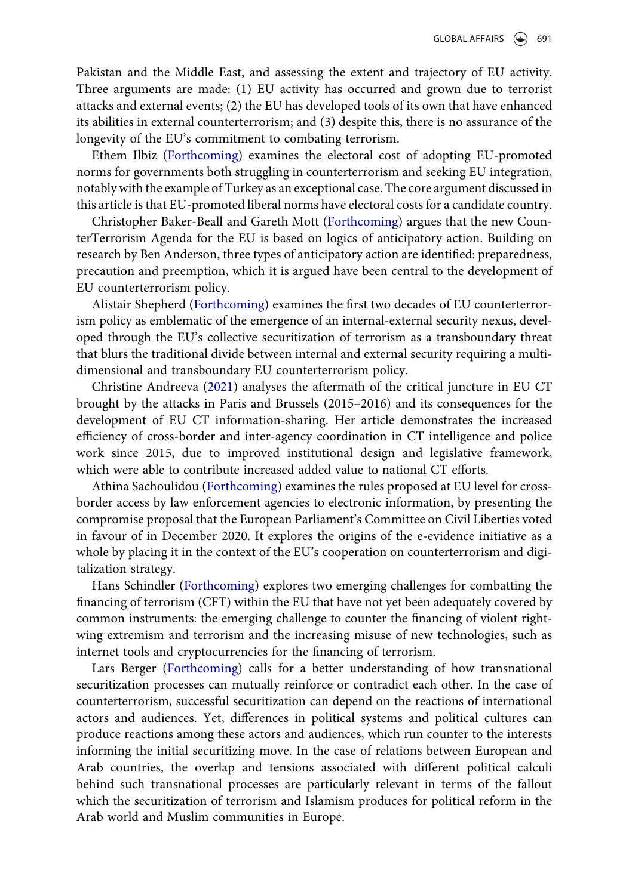Pakistan and the Middle East, and assessing the extent and trajectory of EU activity. Three arguments are made: (1) EU activity has occurred and grown due to terrorist attacks and external events; (2) the EU has developed tools of its own that have enhanced its abilities in external counterterrorism; and (3) despite this, there is no assurance of the longevity of the EU's commitment to combating terrorism.

<span id="page-5-3"></span>Ethem Ilbiz [\(Forthcoming\)](#page-7-20) examines the electoral cost of adopting EU-promoted norms for governments both struggling in counterterrorism and seeking EU integration, notably with the example of Turkey as an exceptional case. The core argument discussed in this article is that EU-promoted liberal norms have electoral costs for a candidate country.

<span id="page-5-1"></span>Christopher Baker-Beall and Gareth Mott ([Forthcoming](#page-6-3)) argues that the new CounterTerrorism Agenda for the EU is based on logics of anticipatory action. Building on research by Ben Anderson, three types of anticipatory action are identified: preparedness, precaution and preemption, which it is argued have been central to the development of EU counterterrorism policy.

<span id="page-5-6"></span>Alistair Shepherd [\(Forthcoming](#page-7-21)) examines the first two decades of EU counterterrorism policy as emblematic of the emergence of an internal-external security nexus, developed through the EU's collective securitization of terrorism as a transboundary threat that blurs the traditional divide between internal and external security requiring a multidimensional and transboundary EU counterterrorism policy.

<span id="page-5-0"></span>Christine Andreeva ([2021](#page-6-4)) analyses the aftermath of the critical juncture in EU CT brought by the attacks in Paris and Brussels (2015–2016) and its consequences for the development of EU CT information-sharing. Her article demonstrates the increased efficiency of cross-border and inter-agency coordination in CT intelligence and police work since 2015, due to improved institutional design and legislative framework, which were able to contribute increased added value to national CT efforts.

<span id="page-5-4"></span>Athina Sachoulidou [\(Forthcoming\)](#page-7-22) examines the rules proposed at EU level for crossborder access by law enforcement agencies to electronic information, by presenting the compromise proposal that the European Parliament's Committee on Civil Liberties voted in favour of in December 2020. It explores the origins of the e-evidence initiative as a whole by placing it in the context of the EU's cooperation on counterterrorism and digitalization strategy.

<span id="page-5-5"></span>Hans Schindler [\(Forthcoming\)](#page-7-23) explores two emerging challenges for combatting the financing of terrorism (CFT) within the EU that have not yet been adequately covered by common instruments: the emerging challenge to counter the financing of violent rightwing extremism and terrorism and the increasing misuse of new technologies, such as internet tools and cryptocurrencies for the financing of terrorism.

<span id="page-5-2"></span>Lars Berger [\(Forthcoming\)](#page-7-24) calls for a better understanding of how transnational securitization processes can mutually reinforce or contradict each other. In the case of counterterrorism, successful securitization can depend on the reactions of international actors and audiences. Yet, differences in political systems and political cultures can produce reactions among these actors and audiences, which run counter to the interests informing the initial securitizing move. In the case of relations between European and Arab countries, the overlap and tensions associated with different political calculi behind such transnational processes are particularly relevant in terms of the fallout which the securitization of terrorism and Islamism produces for political reform in the Arab world and Muslim communities in Europe.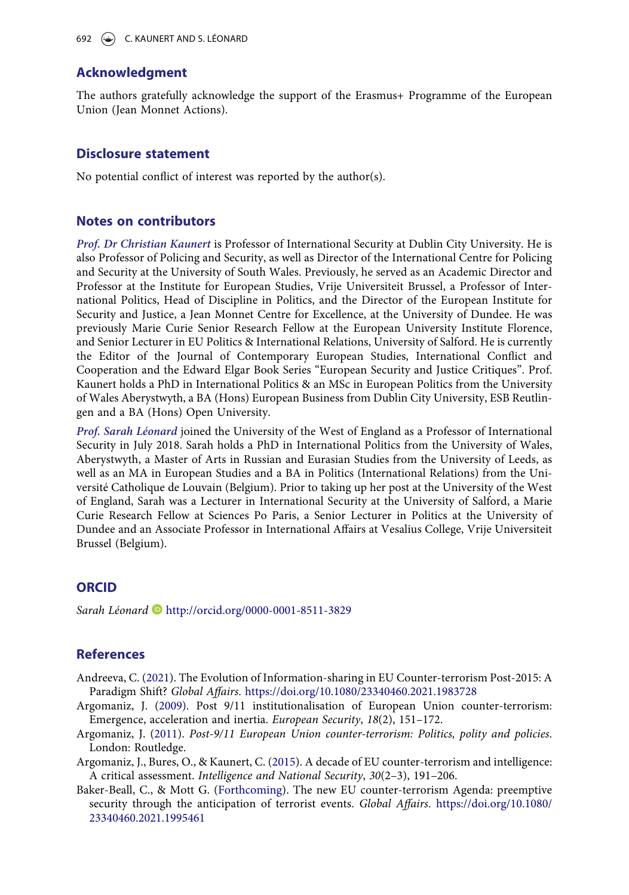### Acknowledgment

The authors gratefully acknowledge the support of the Erasmus+ Programme of the European Union (Jean Monnet Actions).

#### Disclosure statement

No potential conflict of interest was reported by the author(s).

#### Notes on contributors

Prof. Dr Christian Kaunert is Professor of International Security at Dublin City University. He is also Professor of Policing and Security, as well as Director of the International Centre for Policing and Security at the University of South Wales. Previously, he served as an Academic Director and Professor at the Institute for European Studies, Vrije Universiteit Brussel, a Professor of International Politics, Head of Discipline in Politics, and the Director of the European Institute for Security and Justice, a Jean Monnet Centre for Excellence, at the University of Dundee. He was previously Marie Curie Senior Research Fellow at the European University Institute Florence, and Senior Lecturer in EU Politics & International Relations, University of Salford. He is currently the Editor of the Journal of Contemporary European Studies, International Conflict and Cooperation and the Edward Elgar Book Series "European Security and Justice Critiques". Prof. Kaunert holds a PhD in International Politics & an MSc in European Politics from the University of Wales Aberystwyth, a BA (Hons) European Business from Dublin City University, ESB Reutlingen and a BA (Hons) Open University.

Prof. Sarah Léonard joined the University of the West of England as a Professor of International Security in July 2018. Sarah holds a PhD in International Politics from the University of Wales, Aberystwyth, a Master of Arts in Russian and Eurasian Studies from the University of Leeds, as well as an MA in European Studies and a BA in Politics (International Relations) from the Université Catholique de Louvain (Belgium). Prior to taking up her post at the University of the West of England, Sarah was a Lecturer in International Security at the University of Salford, a Marie Curie Research Fellow at Sciences Po Paris, a Senior Lecturer in Politics at the University of Dundee and an Associate Professor in International Affairs at Vesalius College, Vrije Universiteit Brussel (Belgium).

### **ORCID**

Sarah Léonard D [http://orcid.org/0000-0001-8511-3829](http://orcid.org/0000-0002-8929-0600)

### **References**

- <span id="page-6-4"></span>Andreeva, C. ([2021\)](#page-5-0). The Evolution of Information-sharing in EU Counter-terrorism Post-2015: A Paradigm Shift? Global Affairs. <https://doi.org/10.1080/23340460.2021.1983728>
- <span id="page-6-0"></span>Argomaniz, J. ([2009\)](#page-2-0). Post 9/11 institutionalisation of European Union counter-terrorism: Emergence, acceleration and inertia. European Security, 18(2), 151–172.
- <span id="page-6-1"></span>Argomaniz, J. [\(2011](#page-2-0)). Post-9/11 European Union counter-terrorism: Politics, polity and policies. London: Routledge.
- <span id="page-6-2"></span>Argomaniz, J., Bures, O., & Kaunert, C. ([2015\)](#page-4-0). A decade of EU counter-terrorism and intelligence: A critical assessment. Intelligence and National Security, 30(2–3), 191–206.
- <span id="page-6-3"></span>Baker-Beall, C., & Mott G. [\(Forthcoming](#page-5-1)). The new EU counter-terrorism Agenda: preemptive security through the anticipation of terrorist events. Global Affairs. [https://doi.org/10.1080/](https://doi.org/10.1080/23340460.2021.1995461) [23340460.2021.1995461](https://doi.org/10.1080/23340460.2021.1995461)